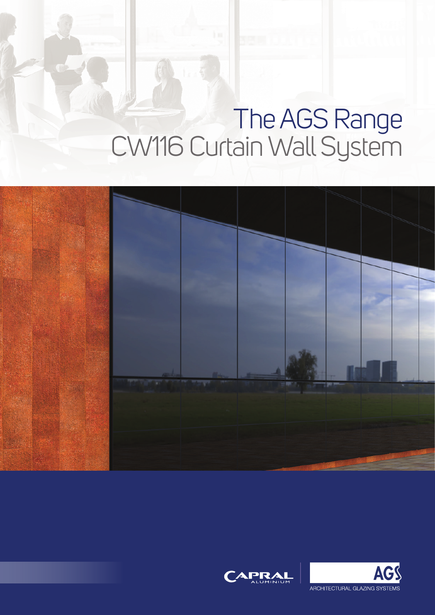# The AGS Range CW116 Curtain Wall System